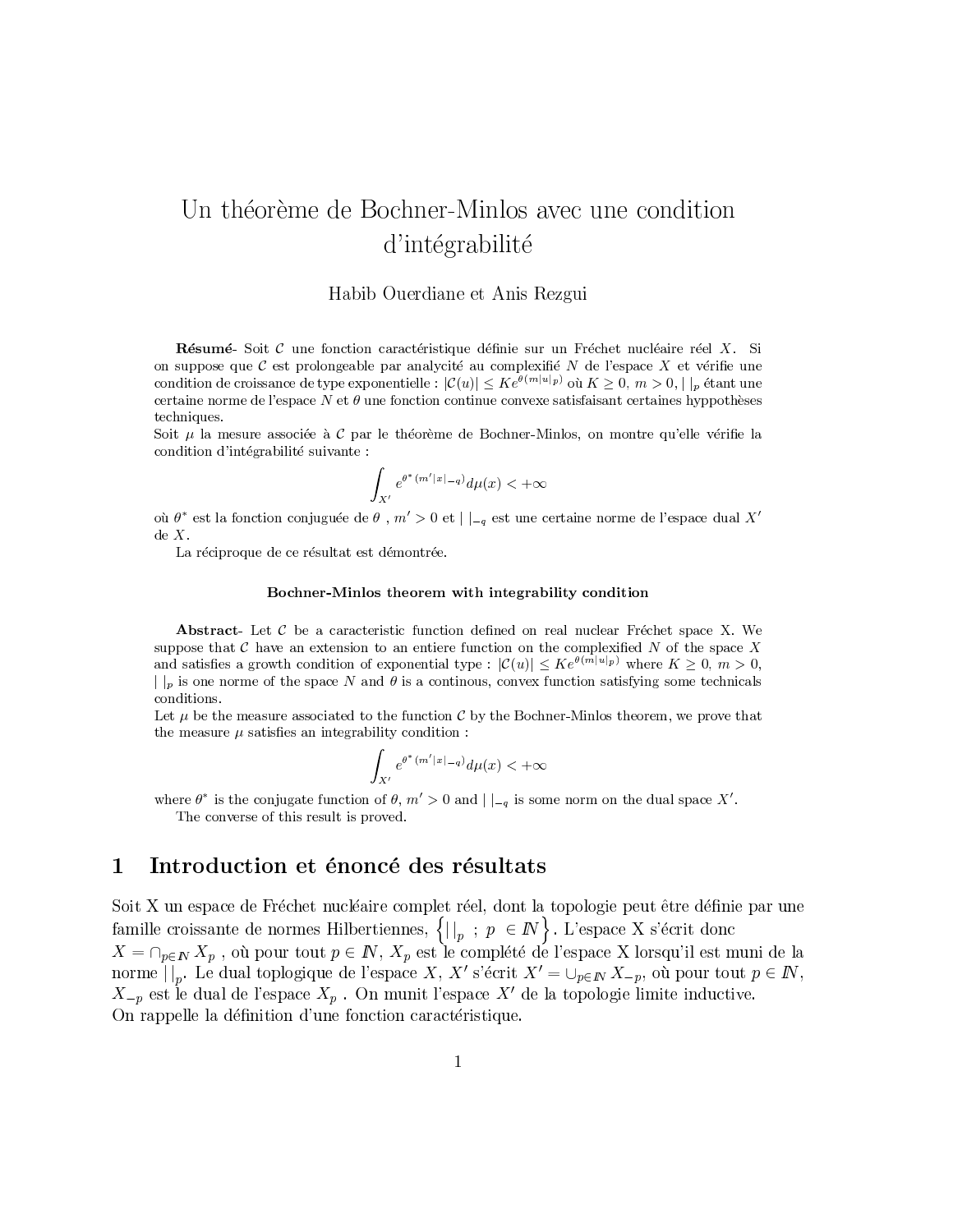# Un théorème de Bochner-Minlos avec une condition d'intégrabilité

### Habib Ouerdiane et Anis Rezgui

Résumé-Soit  $C$  une fonction caractéristique définie sur un Fréchet nucléaire réel  $X$ . Si on suppose que  $\mathcal C$  est prolongeable par analycité au complexifié  $N$  de l'espace  $X$  et vérifie une condition de croissance de type exponentielle :  $|\mathcal{C}(u)| \leq Ke^{\theta(m|u|_p)}$  où  $K \geq 0, m > 0, ||_p$  étant une certaine norme de l'espace  $N$  et  $\theta$  une fonction continue convexe satisfaisant certaines hyppothèses techniques.

Soit  $\mu$  la mesure associée à C par le théorème de Bochner-Minlos, on montre qu'elle vérifie la condition d'intégrabilité suivante :

$$
\int_{X'} e^{\theta^*(m'|x|_{-q})} d\mu(x) < +\infty
$$

où  $\theta^*$  est la fonction conjuguée de  $\theta$ ,  $m' > 0$  et  $|_{-q}$  est une certaine norme de l'espace dual X'  $de X.$ 

La réciproque de ce résultat est démontrée.

### Bochner-Minlos theorem with integrability condition

**Abstract**- Let  $C$  be a caracteristic function defined on real nuclear Fréchet space X. We suppose that  $C$  have an extension to an entiere function on the complexified N of the space X and satisfies a growth condition of exponential type:  $|\mathcal{C}(u)| \leq K e^{\theta(m|u|_p)}$  where  $K \geq 0, m > 0$ ,  $|\cdot|_p$  is one norme of the space N and  $\theta$  is a continuous, convex function satisfying some technicals conditions.

Let  $\mu$  be the measure associated to the function C by the Bochner-Minlos theorem, we prove that the measure  $\mu$  satisfies an integrability condition:

$$
\int_{X'} e^{\theta^*(m'|x|-q)} d\mu(x) < +\infty
$$

where  $\theta^*$  is the conjugate function of  $\theta$ ,  $m' > 0$  and  $|_{-q}$  is some norm on the dual space X'. The converse of this result is proved.

#### Introduction et énoncé des résultats  $\mathbf 1$

Soit X un espace de Fréchet nucléaire complet réel, dont la topologie peut être définie par une famille croissante de normes Hilbertiennes,  $\{|\cdot|_p : p \in \mathbb{N}\}$ . L'espace X s'écrit donc  $X = \cap_{p \in \mathbb{N}} X_p$ , où pour tout  $p \in \mathbb{N}$ ,  $X_p$  est le complété de l'espace X lorsqu'il est muni de la norme  $| \cdot |_{p}$ . Le dual toplogique de l'espace X, X' s'écrit  $X' = \cup_{p \in \mathbb{N}} X_{-p}$ , où pour tout  $p \in \mathbb{N}$ ,  $X_{-p}$  est le dual de l'espace  $X_p$ . On munit l'espace  $X'$  de la topologie limite inductive. On rappelle la définition d'une fonction caractéristique.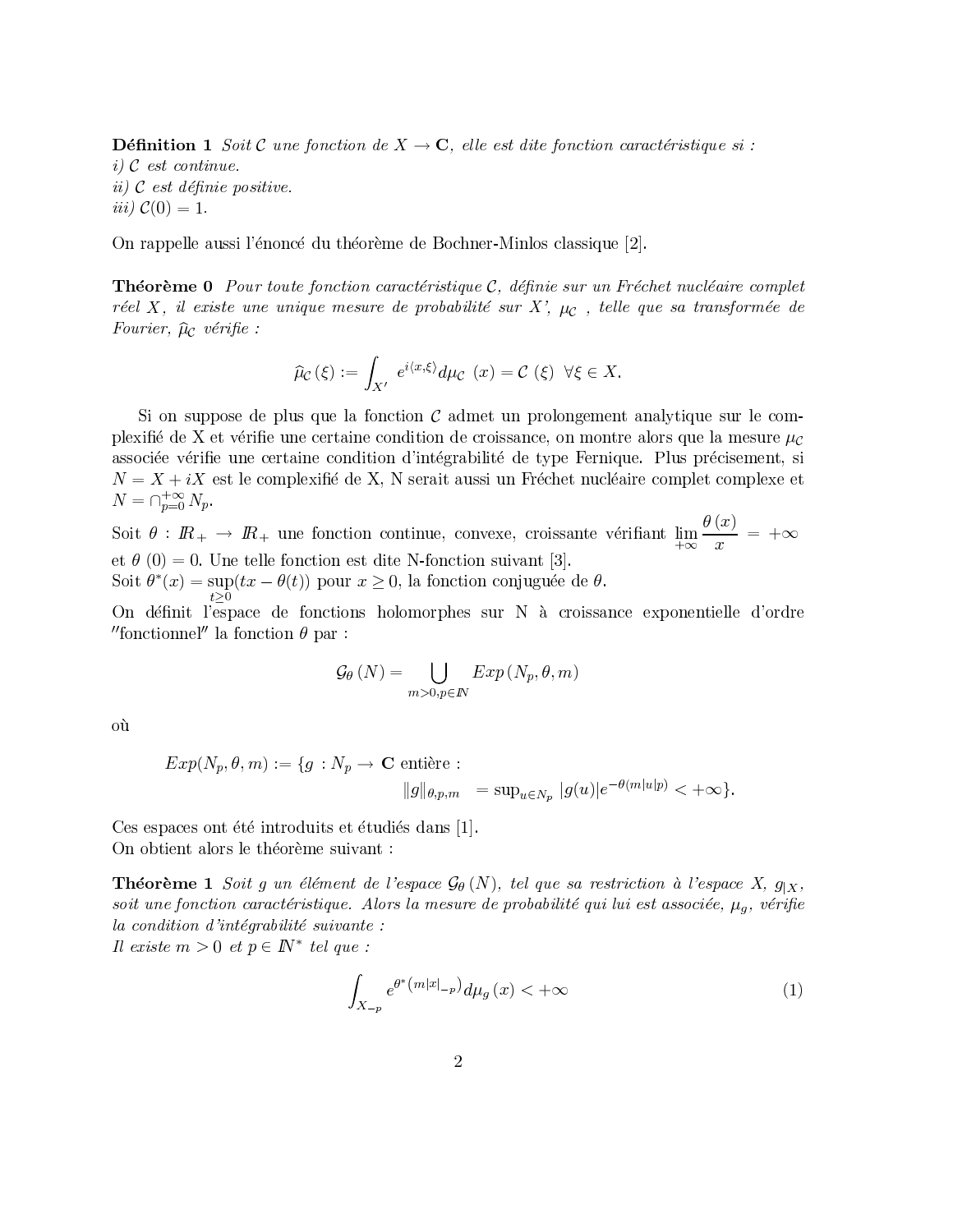**Définition 1** Soit C une fonction de  $X \to \mathbf{C}$ , elle est dite fonction caractéristique si :  $i)$  C est continue. ii)  $C$  est définie positive. *iii*)  $C(0) = 1$ .

On rappelle aussi l'énoncé du théorème de Bochner-Minlos classique [2].

**Théorème 0** Pour toute fonction caractéristique  $\mathcal{C}$ , définie sur un Fréchet nucléaire complet réel X, il existe une unique mesure de probabilité sur X',  $\mu_c$ , telle que sa transformée de Fourier,  $\hat{\mu}_{\mathcal{C}}$  vérifie :

$$
\widehat{\mu}_{\mathcal{C}}\left(\xi\right) := \int_{X'} e^{i\langle x,\xi\rangle} d\mu_{\mathcal{C}}\left(x\right) = \mathcal{C}\left(\xi\right) \ \forall \xi \in X.
$$

Si on suppose de plus que la fonction  $\mathcal C$  admet un prolongement analytique sur le complexifié de X et vérifie une certaine condition de croissance, on montre alors que la mesure  $\mu_c$ associée vérifie une certaine condition d'intégrabilité de type Fernique. Plus précisement, si  $N = X + iX$  est le complexifié de X, N serait aussi un Fréchet nucléaire complet complexe et  $N = \bigcap_{p=0}^{+\infty} N_p.$ 

Soit  $\theta : I\!R_+ \to I\!R_+$  une fonction continue, convexe, croissante vérifiant  $\lim_{+\infty} \frac{\theta(x)}{x} = +\infty$ et  $\theta$  (0) = 0. Une telle fonction est dite N-fonction suivant [3]. Soit  $\theta^*(x) = \sup_{x \to a} (tx - \theta(t))$  pour  $x \ge 0$ , la fonction conjuguée de  $\theta$ .

On définit l'espace de fonctions holomorphes sur N à croissance exponentielle d'ordre "fonctionnel" la fonction  $\theta$  par :

$$
\mathcal{G}_{\theta}\left(N\right)=\bigcup_{m>0,p\in I\!\!N}Exp\left(N_p,\theta,m\right)
$$

où

$$
Exp(N_p, \theta, m) := \{ g : N_p \to \mathbf{C} \text{ entière :}
$$

$$
\|g\|_{\theta, p, m} = \sup_{u \in N_p} |g(u)|e^{-\theta(m|u|p)} < +\infty \}
$$

Ces espaces ont été introduits et étudiés dans [1]. On obtient alors le théorème suivant :

**Théorème 1** Soit g un élément de l'espace  $\mathcal{G}_{\theta}(N)$ , tel que sa restriction à l'espace X,  $g_{|X}$ , soit une fonction caractéristique. Alors la mesure de probabilité qui lui est associée,  $\mu_q$ , vérifie la condition d'intégrabilité suivante :

Il existe  $m > 0$  et  $p \in \mathbb{N}^*$  tel que :

$$
\int_{X_{-p}} e^{\theta^* \left(m|x|_{-p}\right)} d\mu_g\left(x\right) < +\infty \tag{1}
$$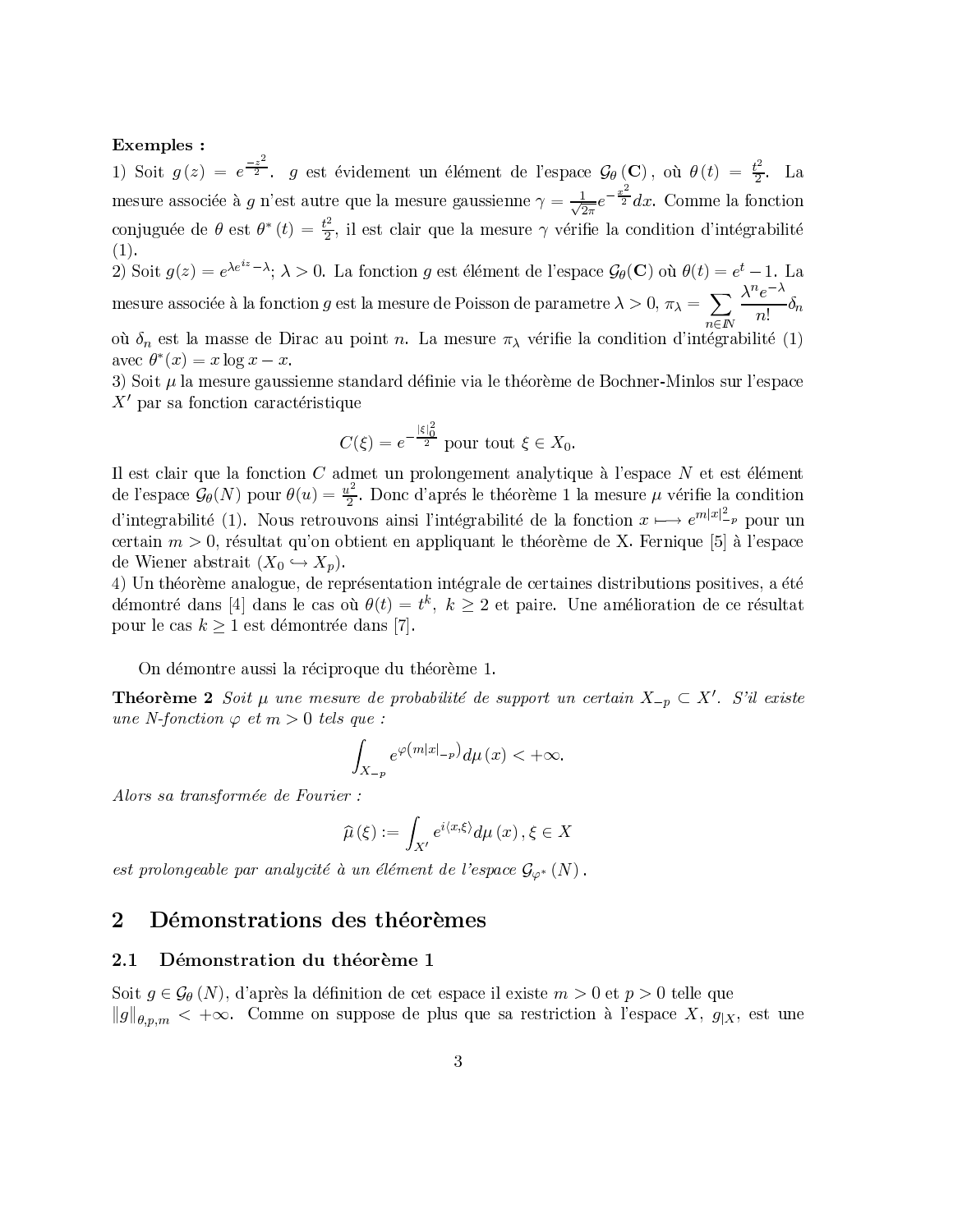### Exemples :

1) Soit  $g(z) = e^{\frac{-z^2}{2}}$ . g est évidement un élément de l'espace  $\mathcal{G}_{\theta}(\mathbf{C})$ , où  $\theta(t) = \frac{t^2}{2}$ . La mesure associée à  $g$  n'est autre que la mesure gaussienne  $\gamma = \frac{1}{\sqrt{2\pi}}e^{-\frac{x^2}{2}}dx$ . Comme la fonction conjuguée de  $\theta$  est  $\theta^*(t) = \frac{t^2}{2}$ , il est clair que la mesure  $\gamma$  vérifie la condition d'intégrabilité  $(1).$ 2) Soit  $g(z) = e^{\lambda e^{iz} - \lambda}$ ;  $\lambda > 0$ . La fonction g est élément de l'espace  $\mathcal{G}_{\theta}(\mathbf{C})$  où  $\theta(t) = e^t - 1$ . La mesure associée à la fonction g est la mesure de Poisson de parametre  $\lambda > 0$ ,  $\pi_{\lambda} = \sum_{n=0}^{\infty} \frac{\lambda^n e^{-\lambda}}{n!} \delta_n$ 

où  $\delta_n$  est la masse de Dirac au point n. La mesure  $\pi_{\lambda}$  vérifie la condition d'intégrabilité (1) avec  $\theta^*(x) = x \log x - x$ .

3) Soit  $\mu$  la mesure gaussienne standard définie via le théorème de Bochner-Minlos sur l'espace  $X'$  par sa fonction caractéristique

$$
C(\xi) = e^{-\frac{|\xi|_0^2}{2}}
$$
 pour tout  $\xi \in X_0$ 

Il est clair que la fonction  $C$  admet un prolongement analytique à l'espace  $N$  et est élément de l'espace  $\mathcal{G}_{\theta}(N)$  pour  $\theta(u) = \frac{u^2}{2}$ . Donc d'aprés le théorème 1 la mesure  $\mu$  vérifie la condition d'integrabilité (1). Nous retrouvons ainsi l'intégrabilité de la fonction  $x \longmapsto e^{m|x|_{{-p}}^2}$  pour un certain  $m > 0$ , résultat qu'on obtient en appliquant le théorème de X. Fernique [5] à l'espace de Wiener abstrait  $(X_0 \hookrightarrow X_p)$ .

4) Un théorème analogue, de représentation intégrale de certaines distributions positives, a été démontré dans [4] dans le cas où  $\theta(t) = t^k$ ,  $k \geq 2$  et paire. Une amélioration de ce résultat pour le cas  $k \geq 1$  est démontrée dans [7].

On démontre aussi la réciproque du théorème 1.

**Théorème 2** Soit  $\mu$  une mesure de probabilité de support un certain  $X_{-p} \subset X'$ . S'il existe une N-fonction  $\varphi$  et m > 0 tels que :

$$
\int_{X_{-p}} e^{\varphi(m|x|_{-p})} d\mu(x) < +\infty.
$$

Alors sa transformée de Fourier :

$$
\widehat{\mu}\left(\xi\right) := \int_{X'} e^{i\langle x,\xi\rangle} d\mu\left(x\right), \xi \in X
$$

est prolongeable par analycité à un élément de l'espace  $\mathcal{G}_{\varphi^*}(N)$ .

#### $\overline{2}$ Démonstrations des théorèmes

#### $2.1$ Démonstration du théorème 1

Soit  $g \in \mathcal{G}_{\theta}(N)$ , d'après la définition de cet espace il existe  $m > 0$  et  $p > 0$  telle que  $||g||_{\theta,p,m} < +\infty$ . Comme on suppose de plus que sa restriction à l'espace X,  $g_{|X}$ , est une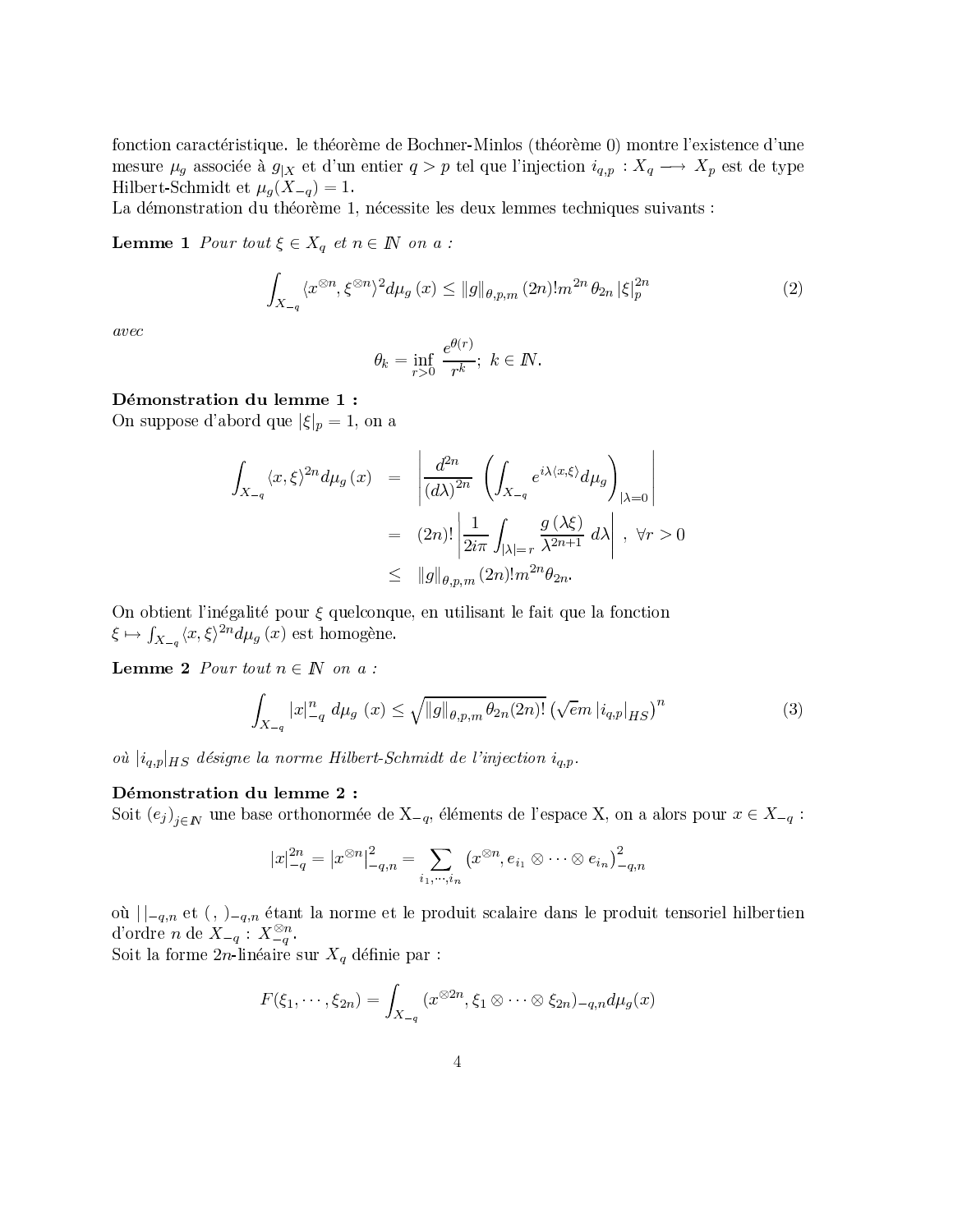fonction caractéristique. le théorème de Bochner-Minlos (théorème 0) montre l'existence d'une mesure  $\mu_g$  associée à  $g_{|X}$  et d'un entier  $q > p$  tel que l'injection  $i_{q,p} : X_q \longrightarrow X_p$  est de type Hilbert-Schmidt et  $\mu_g(X_{-q}) = 1$ .

La démonstration du théorème 1, nécessite les deux lemmes techniques suivants :

**Lemme 1** Pour tout  $\xi \in X_q$  et  $n \in \mathbb{N}$  on a :

$$
\int_{X_{-q}} \langle x^{\otimes n}, \xi^{\otimes n} \rangle^2 d\mu_g(x) \le ||g||_{\theta, p, m} (2n)! m^{2n} \theta_{2n} |\xi|_p^{2n}
$$
 (2)

 $\emph{avec}$ 

$$
\theta_k = \inf_{r>0} \frac{e^{\theta(r)}}{r^k}; \ k \in \mathbb{N}.
$$

### Démonstration du lemme 1 :

On suppose d'abord que  $|\xi|_p = 1$ , on a

$$
\int_{X_{-q}} \langle x, \xi \rangle^{2n} d\mu_{g}(x) = \left| \frac{d^{2n}}{(d\lambda)^{2n}} \left( \int_{X_{-q}} e^{i\lambda \langle x, \xi \rangle} d\mu_{g} \right)_{|\lambda = 0} \right|
$$
  
\n
$$
= (2n)! \left| \frac{1}{2i\pi} \int_{|\lambda| = r} \frac{g(\lambda \xi)}{\lambda^{2n+1}} d\lambda \right|, \forall r > 0
$$
  
\n
$$
\leq ||g||_{\theta, p, m} (2n)! m^{2n} \theta_{2n}.
$$

On obtient l'inégalité pour  $\xi$  quelconque, en utilisant le fait que la fonction  $\xi \mapsto \int_{X_{-q}} \langle x, \xi \rangle^{2n} d\mu_g(x)$  est homogène.

**Lemme 2** Pour tout  $n \in \mathbb{N}$  on a:

$$
\int_{X_{-q}} |x|_{-q}^{n} d\mu_{g}(x) \le \sqrt{\|g\|_{\theta, p, m} \theta_{2n}(2n)!} \left(\sqrt{e} m |i_{q, p}|_{HS}\right)^{n} \tag{3}
$$

où  $|i_{q,p}|_{HS}$  désigne la norme Hilbert-Schmidt de l'injection  $i_{q,p}$ .

### Démonstration du lemme 2 :

Soit  $(e_j)_{j \in \mathbb{N}}$  une base orthonormée de  $X_{-q}$ , éléments de l'espace X, on a alors pour  $x \in X_{-q}$ :

$$
|x|_{-q}^{2n} = |x^{\otimes n}|_{-q,n}^2 = \sum_{i_1,\cdots,i_n} (x^{\otimes n}, e_{i_1} \otimes \cdots \otimes e_{i_n})_{-q,n}^2
$$

où  $|z|_{-q,n}$  et  $(z)_{-q,n}$  étant la norme et le produit scalaire dans le produit tensoriel hilbertien d'ordre n de  $X_{-q}$ :  $X_{-q}^{\otimes n}$ .

Soit la forme  $2n$ -linéaire sur  $X_q$  définie par :

$$
F(\xi_1,\dots,\xi_{2n})=\int_{X_{-q}}(x^{\otimes 2n},\xi_1\otimes\dots\otimes\xi_{2n})_{-q,n}d\mu_g(x)
$$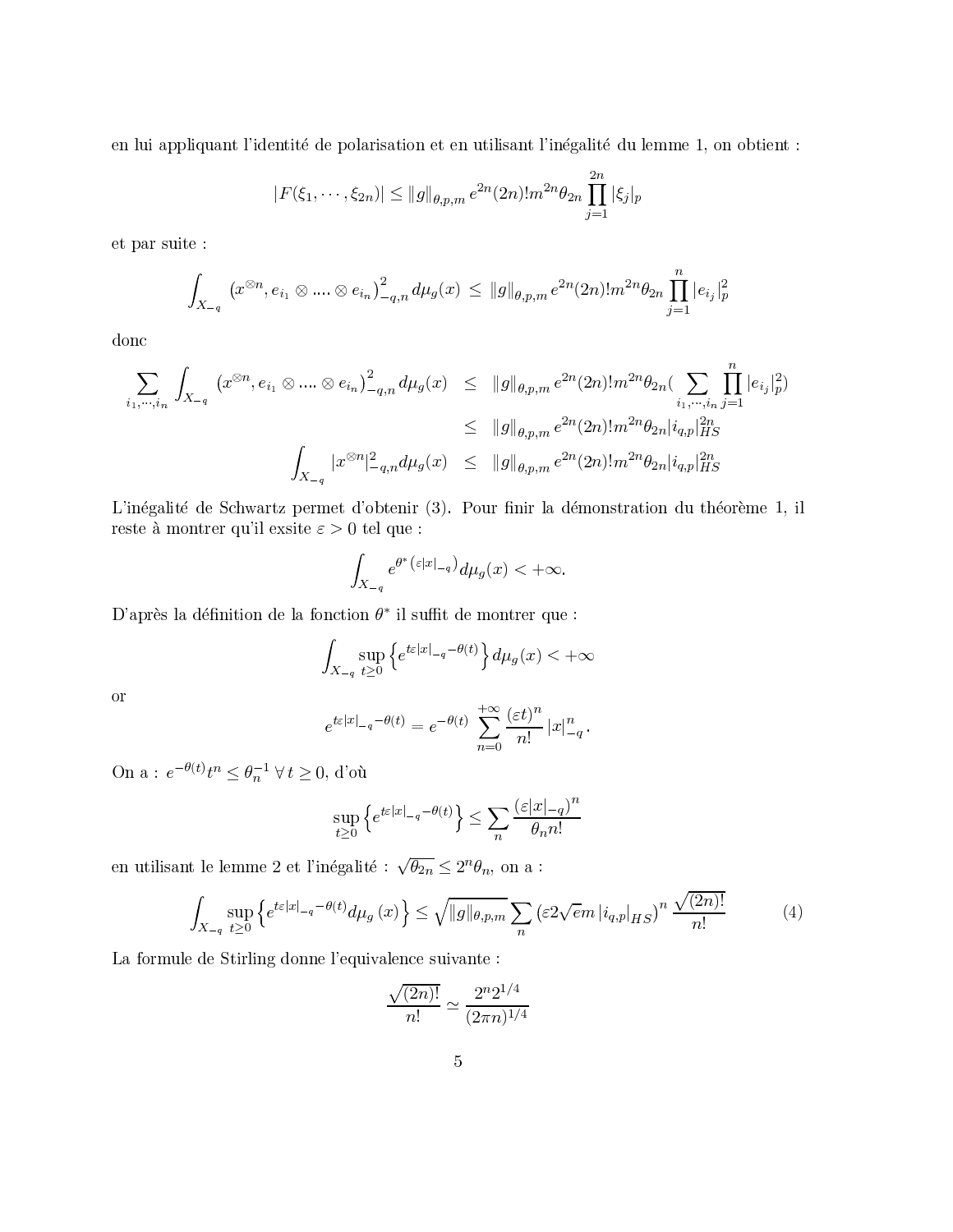en lui appliquant l'identité de polarisation et en utilisant l'inégalité du lemme 1, on obtient :

$$
|F(\xi_1,\dots,\xi_{2n})| \le ||g||_{\theta,p,m} e^{2n} (2n)! m^{2n} \theta_{2n} \prod_{j=1}^{2n} |\xi_j|_p
$$

et par suite :

$$
\int_{X_{-q}} (x^{\otimes n}, e_{i_1} \otimes \ldots \otimes e_{i_n})_{-q,n}^2 d\mu_g(x) \leq \|g\|_{\theta,p,m} e^{2n} (2n)! m^{2n} \theta_{2n} \prod_{j=1}^n |e_{i_j}|_p^2
$$

donc

$$
\sum_{i_1,\dots,i_n} \int_{X_{-q}} (x^{\otimes n}, e_{i_1} \otimes \dots \otimes e_{i_n})_{-q,n}^2 d\mu_g(x) \leq ||g||_{\theta,p,m} e^{2n} (2n)! m^{2n} \theta_{2n} (\sum_{i_1,\dots,i_n} \prod_{j=1}^n |e_{i_j}|_p^2)
$$
  

$$
\leq ||g||_{\theta,p,m} e^{2n} (2n)! m^{2n} \theta_{2n} |i_{q,p}|_{HS}^{2n}
$$
  

$$
\int_{X_{-q}} |x^{\otimes n}|_{-q,n}^2 d\mu_g(x) \leq ||g||_{\theta,p,m} e^{2n} (2n)! m^{2n} \theta_{2n} |i_{q,p}|_{HS}^{2n}
$$

L'inégalité de Schwartz permet d'obtenir (3). Pour finir la démonstration du théorème 1, il reste à montrer qu'il exsite  $\varepsilon>0$  tel que :

$$
\int_{X_{-q}} e^{\theta^* (\varepsilon |x|_{-q})} d\mu_g(x) < +\infty.
$$

D'après la définition de la fonction  $\theta^*$  il suffit de montrer que :

$$
\int_{X_{-q}} \sup_{t \ge 0} \left\{ e^{t\varepsilon |x|_{-q} - \theta(t)} \right\} d\mu_g(x) < +\infty
$$

 $\hbox{or}$ 

$$
e^{t\varepsilon|x|_{-q}-\theta(t)} = e^{-\theta(t)} \sum_{n=0}^{+\infty} \frac{(\varepsilon t)^n}{n!} |x|_{-q}^n.
$$

On a : $e^{-\theta(t)}t^n\leq \theta_n^{-1} \: \forall \: t\geq 0,$  d'où

$$
\sup_{t\geq 0} \left\{ e^{t\varepsilon |x|_{-q} - \theta(t)} \right\} \leq \sum_{n} \frac{\left(\varepsilon |x|_{-q}\right)^n}{\theta_n n!}
$$

en utilisant le lemme 2 et l'inégalité :  $\sqrt{\theta_{2n}} \leq 2^n \theta_n,$  on a :

$$
\int_{X_{-q}} \sup_{t \ge 0} \left\{ e^{t\varepsilon|x|_{-q} - \theta(t)} d\mu_g(x) \right\} \le \sqrt{\|g\|_{\theta, p, m}} \sum_n \left( \varepsilon 2\sqrt{e} m |i_{q, p}|_{HS} \right)^n \frac{\sqrt{(2n)!}}{n!} \tag{4}
$$

La formule de Stirling donne l'equivalence suivante :

$$
\frac{\sqrt{(2n)!}}{n!} \simeq \frac{2^n 2^{1/4}}{(2\pi n)^{1/4}}
$$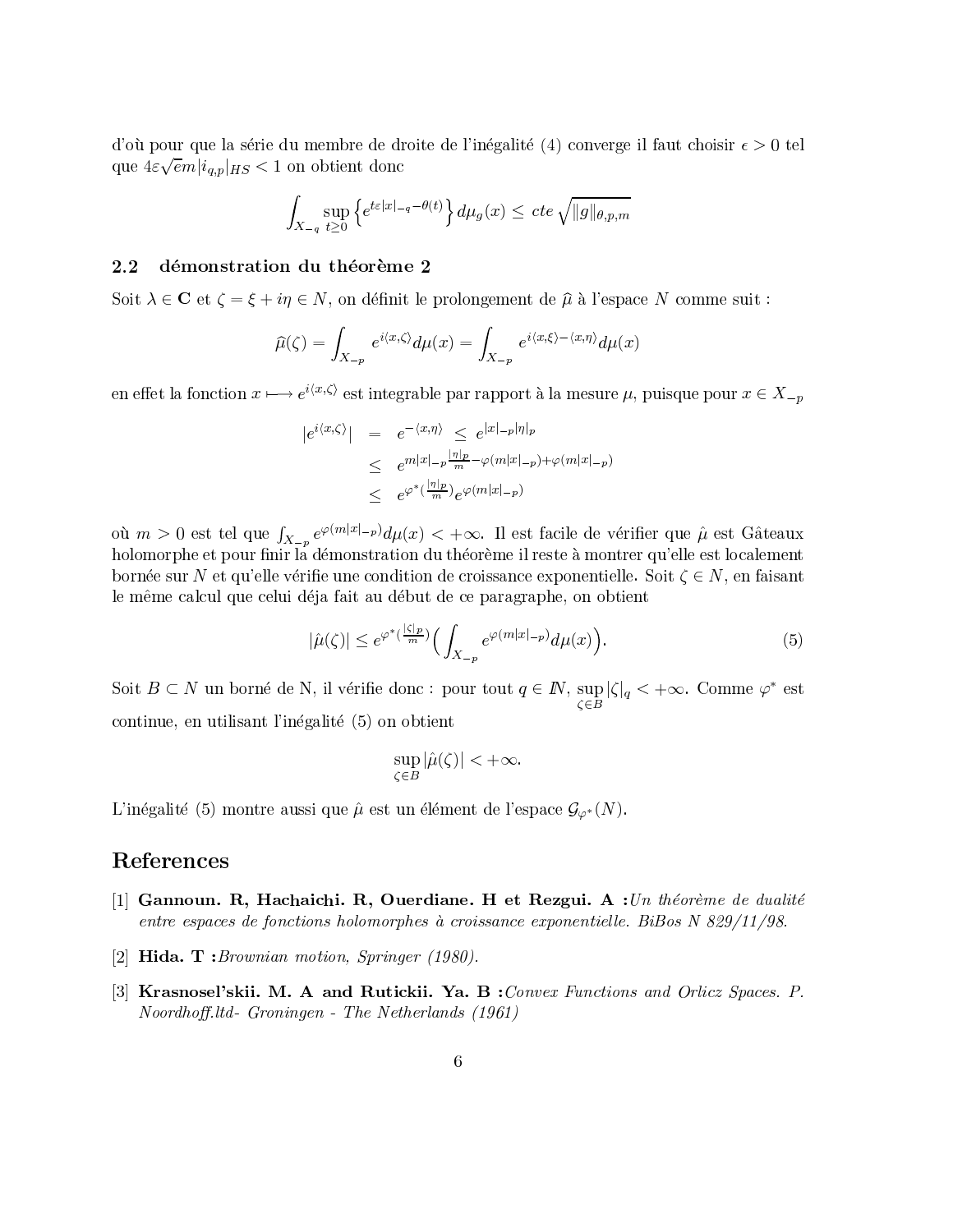d'où pour que la série du membre de droite de l'inégalité (4) converge il faut choisir  $\epsilon > 0$  tel que  $4\varepsilon\sqrt{em}|i_{q,p}|_{HS} < 1$  on obtient donc

$$
\int_{X_{-q}} \sup_{t \ge 0} \left\{ e^{t\varepsilon |x| - q - \theta(t)} \right\} d\mu_g(x) \le cte \sqrt{\|g\|_{\theta, p, m}}
$$

#### $2.2$ démonstration du théorème 2

Soit  $\lambda \in \mathbb{C}$  et  $\zeta = \xi + i\eta \in N$ , on définit le prolongement de  $\hat{\mu}$  à l'espace N comme suit :

$$
\widehat{\mu}(\zeta) = \int_{X_{-p}} e^{i\langle x, \zeta \rangle} d\mu(x) = \int_{X_{-p}} e^{i\langle x, \xi \rangle - \langle x, \eta \rangle} d\mu(x)
$$

en effet la fonction  $x \mapsto e^{i\langle x,\zeta\rangle}$  est integrable par rapport à la mesure  $\mu$ , puisque pour  $x \in X_{-n}$ 

$$
|e^{i\langle x,\zeta\rangle}| = e^{-\langle x,\eta\rangle} \le e^{|x|-p|\eta|p}
$$
  
\n
$$
\le e^{m|x|-p\frac{|\eta|p}{m}-\varphi(m|x|-p)+\varphi(m|x|-p)}
$$
  
\n
$$
\le e^{\varphi^*(\frac{|\eta|p}{m})}e^{\varphi(m|x|-p)}
$$

où  $m>0$  est tel que  $\int_{X_{-p}} e^{\varphi(m|x|-p)} d\mu(x) < +\infty$ . Il est facile de vérifier que  $\hat{\mu}$  est Gâteaux holomorphe et pour finir la démonstration du théorème il reste à montrer qu'elle est localement bornée sur N et qu'elle vérifie une condition de croissance exponentielle. Soit  $\zeta \in N$ , en faisant le même calcul que celui déja fait au début de ce paragraphe, on obtient

$$
|\hat{\mu}(\zeta)| \le e^{\varphi^*(\frac{|\zeta|_p}{m})} \Big( \int_{X_{-p}} e^{\varphi(m|x|_{-p})} d\mu(x) \Big). \tag{5}
$$

Soit  $B \subset N$  un borné de N, il vérifie donc : pour tout  $q \in \mathbb{N}$ ,  $\sup_{\zeta \in B} |\zeta|_q < +\infty$ . Comme  $\varphi^*$  est continue, en utilisant l'inégalité (5) on obtient

$$
\sup_{\zeta \in B} |\hat{\mu}(\zeta)| < +\infty.
$$

L'inégalité (5) montre aussi que  $\hat{\mu}$  est un élément de l'espace  $\mathcal{G}_{\varphi^*}(N)$ .

## References

- [1] Gannoun. R, Hachaichi. R, Ouerdiane. H et Rezgui. A : Un théorème de dualité entre espaces de fonctions holomorphes à croissance exponentielle. BiBos N 829/11/98.
- [2] **Hida.** T: Brownian motion, Springer  $(1980)$ .
- [3] Krasnosel'skii. M. A and Rutickii. Ya. B: Convex Functions and Orlicz Spaces. P. Noordhoff.ltd-Groningen - The Netherlands (1961)